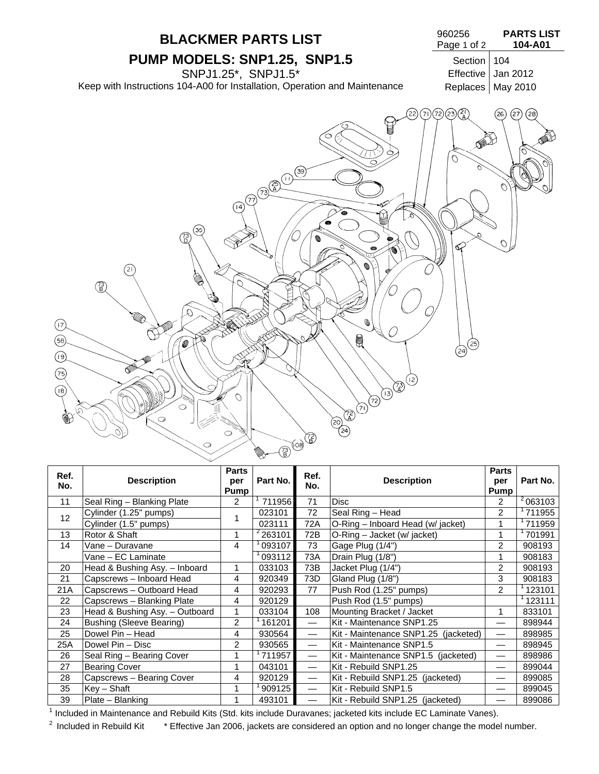

| Ref.<br>No. | <b>Description</b>              | <b>Parts</b><br>per<br>Pump | Part No.  | Ref.<br>No.              | <b>Description</b>                   | <b>Parts</b><br>per<br>Pump | Part No.             |
|-------------|---------------------------------|-----------------------------|-----------|--------------------------|--------------------------------------|-----------------------------|----------------------|
| 11          | Seal Ring - Blanking Plate      | $\overline{2}$              | 711956    | 71                       | <b>Disc</b>                          | 2                           | $\frac{2}{10}$ 63103 |
| 12          | Cylinder (1.25" pumps)          | 1                           | 023101    | 72                       | Seal Ring - Head                     | $\overline{2}$              | 711955               |
|             | Cylinder (1.5" pumps)           |                             | 023111    | 72A                      | O-Ring - Inboard Head (w/ jacket)    | 1                           | 711959               |
| 13          | Rotor & Shaft                   | 1                           | $2$ 63101 | 72B                      | O-Ring - Jacket (w/ jacket)          | 1                           | 701991               |
| 14          | Vane - Duravane                 | 4                           | 093107    | 73                       | Gage Plug (1/4")                     | 2                           | 908193               |
|             | Vane - EC Laminate              |                             | 093112    | 73A                      | Drain Plug (1/8")                    | 1                           | 908183               |
| 20          | Head & Bushing Asy. - Inboard   | 1                           | 033103    | 73B                      | Jacket Plug (1/4")                   | $\overline{2}$              | 908193               |
| 21          | Capscrews - Inboard Head        | 4                           | 920349    | 73D                      | Gland Plug (1/8")                    | 3                           | 908183               |
| 21A         | Capscrews - Outboard Head       | 4                           | 920293    | 77                       | Push Rod (1.25" pumps)               | $\overline{2}$              | 123101               |
| 22          | Capscrews - Blanking Plate      | 4                           | 920129    |                          | Push Rod (1.5" pumps)                |                             | 1123111              |
| 23          | Head & Bushing Asy. - Outboard  | 1                           | 033104    | 108                      | Mounting Bracket / Jacket            | 1                           | 833101               |
| 24          | <b>Bushing (Sleeve Bearing)</b> | $\overline{2}$              | 161201    | $\overline{\phantom{0}}$ | Kit - Maintenance SNP1.25            |                             | 898944               |
| 25          | Dowel Pin - Head                | 4                           | 930564    |                          | Kit - Maintenance SNP1.25 (jacketed) | $\overline{\phantom{0}}$    | 898985               |
| 25A         | Dowel Pin - Disc                | 2                           | 930565    |                          | Kit - Maintenance SNP1.5             |                             | 898945               |
| 26          | Seal Ring - Bearing Cover       | 1                           | 711957    | $\overline{\phantom{0}}$ | Kit - Maintenance SNP1.5 (jacketed)  |                             | 898986               |
| 27          | <b>Bearing Cover</b>            | 1                           | 043101    | $\overline{\phantom{0}}$ | Kit - Rebuild SNP1.25                |                             | 899044               |
| 28          | Capscrews - Bearing Cover       | 4                           | 920129    | $\overline{\phantom{0}}$ | Kit - Rebuild SNP1.25 (jacketed)     |                             | 899085               |
| 35          | $Key - Shaft$                   |                             | 909125    |                          | Kit - Rebuild SNP1.5                 | $\overline{\phantom{0}}$    | 899045               |
| 39          | Plate - Blanking                | 1                           | 493101    | $\overline{\phantom{0}}$ | Kit - Rebuild SNP1.25 (jacketed)     |                             | 899086               |

<sup>1</sup> Included in Maintenance and Rebuild Kits (Std. kits include Duravanes; jacketed kits include EC Laminate Vanes).

<sup>2</sup> Included in Rebuild Kit \* Effective Jan 2006, jackets are considered an option and no longer change the model number.